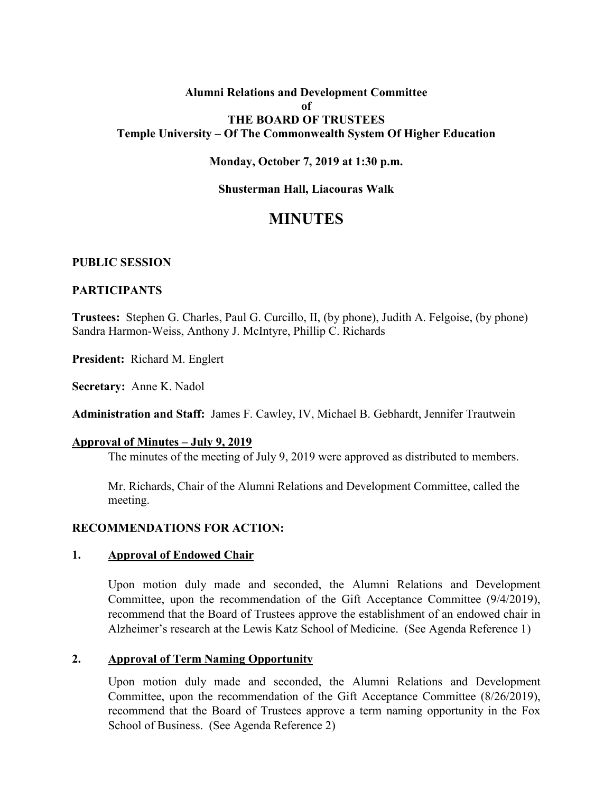# **Alumni Relations and Development Committee of THE BOARD OF TRUSTEES Temple University – Of The Commonwealth System Of Higher Education**

### **Monday, October 7, 2019 at 1:30 p.m.**

#### **Shusterman Hall, Liacouras Walk**

# **MINUTES**

#### **PUBLIC SESSION**

#### **PARTICIPANTS**

**Trustees:** Stephen G. Charles, Paul G. Curcillo, II, (by phone), Judith A. Felgoise, (by phone) Sandra Harmon-Weiss, Anthony J. McIntyre, Phillip C. Richards

**President:** Richard M. Englert

**Secretary:** Anne K. Nadol

**Administration and Staff:** James F. Cawley, IV, Michael B. Gebhardt, Jennifer Trautwein

#### **Approval of Minutes – July 9, 2019**

The minutes of the meeting of July 9, 2019 were approved as distributed to members.

Mr. Richards, Chair of the Alumni Relations and Development Committee, called the meeting.

### **RECOMMENDATIONS FOR ACTION:**

#### **1. Approval of Endowed Chair**

Upon motion duly made and seconded, the Alumni Relations and Development Committee, upon the recommendation of the Gift Acceptance Committee (9/4/2019), recommend that the Board of Trustees approve the establishment of an endowed chair in Alzheimer's research at the Lewis Katz School of Medicine. (See Agenda Reference 1)

#### **2. Approval of Term Naming Opportunity**

Upon motion duly made and seconded, the Alumni Relations and Development Committee, upon the recommendation of the Gift Acceptance Committee (8/26/2019), recommend that the Board of Trustees approve a term naming opportunity in the Fox School of Business. (See Agenda Reference 2)